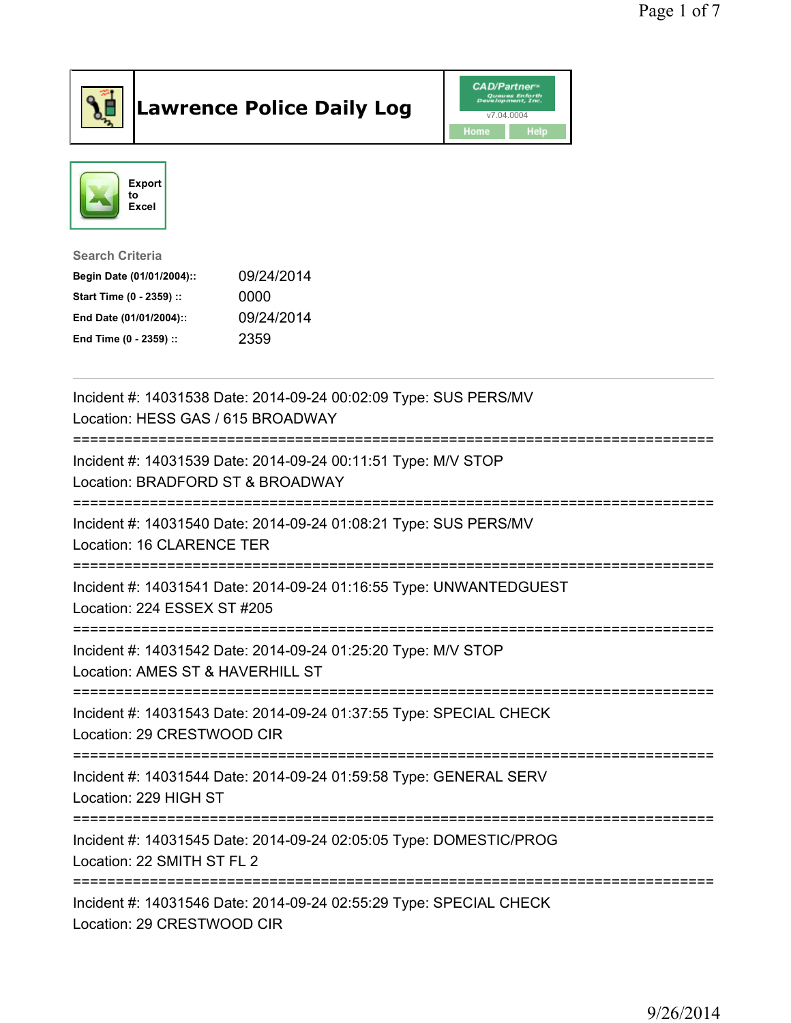

## Lawrence Police Daily Log Value of the VAD/Partner





Search Criteria

| Begin Date (01/01/2004):: | 09/24/2014 |
|---------------------------|------------|
| Start Time (0 - 2359) ::  | 0000       |
| End Date (01/01/2004)::   | 09/24/2014 |
| End Time (0 - 2359) ::    | 2359       |

| Incident #: 14031538 Date: 2014-09-24 00:02:09 Type: SUS PERS/MV<br>Location: HESS GAS / 615 BROADWAY                              |
|------------------------------------------------------------------------------------------------------------------------------------|
| Incident #: 14031539 Date: 2014-09-24 00:11:51 Type: M/V STOP<br>Location: BRADFORD ST & BROADWAY<br>============================= |
| Incident #: 14031540 Date: 2014-09-24 01:08:21 Type: SUS PERS/MV<br>Location: 16 CLARENCE TER                                      |
| Incident #: 14031541 Date: 2014-09-24 01:16:55 Type: UNWANTEDGUEST<br>Location: 224 ESSEX ST #205                                  |
| Incident #: 14031542 Date: 2014-09-24 01:25:20 Type: M/V STOP<br>Location: AMES ST & HAVERHILL ST                                  |
| Incident #: 14031543 Date: 2014-09-24 01:37:55 Type: SPECIAL CHECK<br>Location: 29 CRESTWOOD CIR                                   |
| Incident #: 14031544 Date: 2014-09-24 01:59:58 Type: GENERAL SERV<br>Location: 229 HIGH ST<br>---------------------                |
| Incident #: 14031545 Date: 2014-09-24 02:05:05 Type: DOMESTIC/PROG<br>Location: 22 SMITH ST FL 2                                   |
| Incident #: 14031546 Date: 2014-09-24 02:55:29 Type: SPECIAL CHECK<br>Location: 29 CRESTWOOD CIR                                   |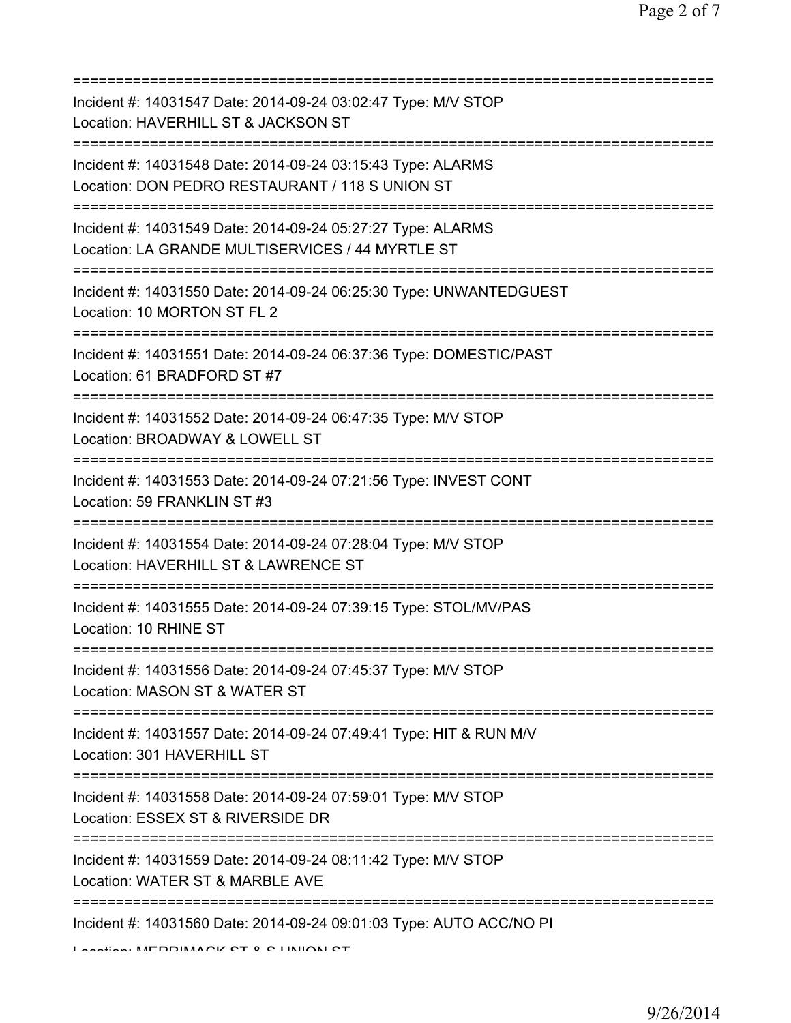| Incident #: 14031547 Date: 2014-09-24 03:02:47 Type: M/V STOP<br>Location: HAVERHILL ST & JACKSON ST<br>==============================    |
|-------------------------------------------------------------------------------------------------------------------------------------------|
| Incident #: 14031548 Date: 2014-09-24 03:15:43 Type: ALARMS<br>Location: DON PEDRO RESTAURANT / 118 S UNION ST                            |
| Incident #: 14031549 Date: 2014-09-24 05:27:27 Type: ALARMS<br>Location: LA GRANDE MULTISERVICES / 44 MYRTLE ST                           |
| Incident #: 14031550 Date: 2014-09-24 06:25:30 Type: UNWANTEDGUEST<br>Location: 10 MORTON ST FL 2                                         |
| Incident #: 14031551 Date: 2014-09-24 06:37:36 Type: DOMESTIC/PAST<br>Location: 61 BRADFORD ST #7<br>==================================== |
| Incident #: 14031552 Date: 2014-09-24 06:47:35 Type: M/V STOP<br>Location: BROADWAY & LOWELL ST                                           |
| Incident #: 14031553 Date: 2014-09-24 07:21:56 Type: INVEST CONT<br>Location: 59 FRANKLIN ST #3                                           |
| Incident #: 14031554 Date: 2014-09-24 07:28:04 Type: M/V STOP<br>Location: HAVERHILL ST & LAWRENCE ST                                     |
| Incident #: 14031555 Date: 2014-09-24 07:39:15 Type: STOL/MV/PAS<br>Location: 10 RHINE ST                                                 |
| Incident #: 14031556 Date: 2014-09-24 07:45:37 Type: M/V STOP<br>Location: MASON ST & WATER ST                                            |
| Incident #: 14031557 Date: 2014-09-24 07:49:41 Type: HIT & RUN M/V<br>Location: 301 HAVERHILL ST                                          |
| Incident #: 14031558 Date: 2014-09-24 07:59:01 Type: M/V STOP<br>Location: ESSEX ST & RIVERSIDE DR                                        |
| Incident #: 14031559 Date: 2014-09-24 08:11:42 Type: M/V STOP<br>Location: WATER ST & MARBLE AVE                                          |
| Incident #: 14031560 Date: 2014-09-24 09:01:03 Type: AUTO ACC/NO PI                                                                       |

Location: MERRIMACK CT & C UNION CT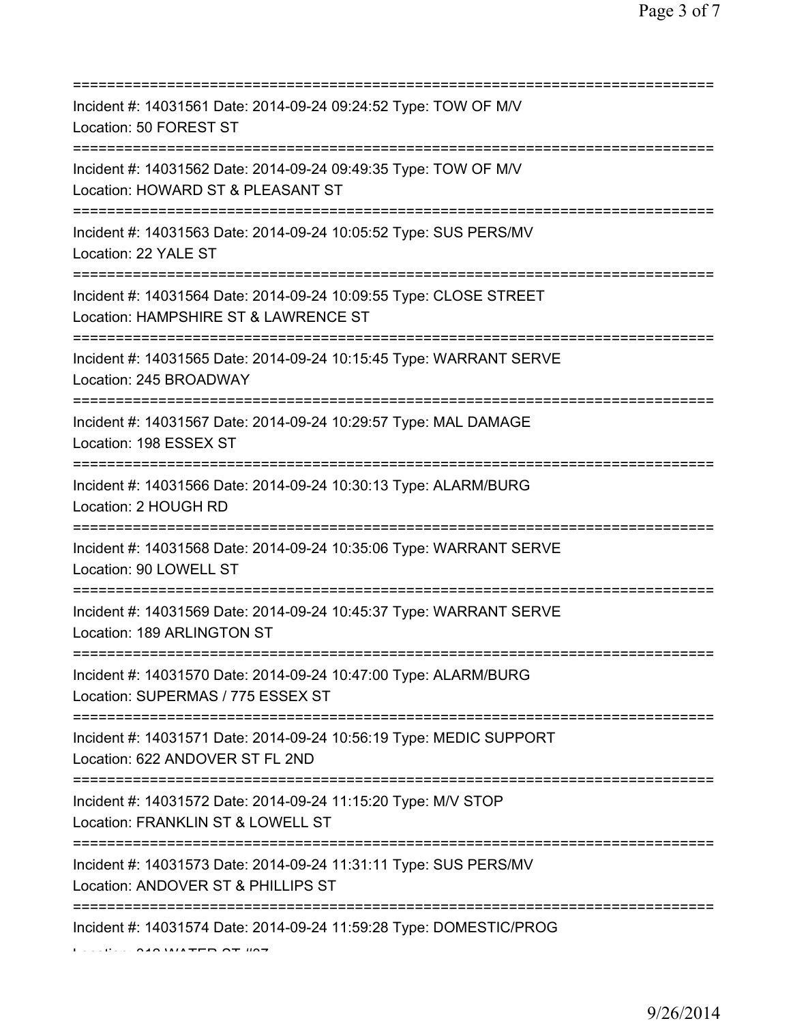| Incident #: 14031561 Date: 2014-09-24 09:24:52 Type: TOW OF M/V<br>Location: 50 FOREST ST                                    |
|------------------------------------------------------------------------------------------------------------------------------|
| Incident #: 14031562 Date: 2014-09-24 09:49:35 Type: TOW OF M/V<br>Location: HOWARD ST & PLEASANT ST                         |
| Incident #: 14031563 Date: 2014-09-24 10:05:52 Type: SUS PERS/MV<br>Location: 22 YALE ST                                     |
| Incident #: 14031564 Date: 2014-09-24 10:09:55 Type: CLOSE STREET<br>Location: HAMPSHIRE ST & LAWRENCE ST                    |
| Incident #: 14031565 Date: 2014-09-24 10:15:45 Type: WARRANT SERVE<br>Location: 245 BROADWAY                                 |
| Incident #: 14031567 Date: 2014-09-24 10:29:57 Type: MAL DAMAGE<br>Location: 198 ESSEX ST                                    |
| Incident #: 14031566 Date: 2014-09-24 10:30:13 Type: ALARM/BURG<br>Location: 2 HOUGH RD                                      |
| Incident #: 14031568 Date: 2014-09-24 10:35:06 Type: WARRANT SERVE<br>Location: 90 LOWELL ST<br>---------------------------- |
| Incident #: 14031569 Date: 2014-09-24 10:45:37 Type: WARRANT SERVE<br>Location: 189 ARLINGTON ST                             |
| Incident #: 14031570 Date: 2014-09-24 10:47:00 Type: ALARM/BURG<br>Location: SUPERMAS / 775 ESSEX ST                         |
| Incident #: 14031571 Date: 2014-09-24 10:56:19 Type: MEDIC SUPPORT<br>Location: 622 ANDOVER ST FL 2ND                        |
| Incident #: 14031572 Date: 2014-09-24 11:15:20 Type: M/V STOP<br>Location: FRANKLIN ST & LOWELL ST                           |
| Incident #: 14031573 Date: 2014-09-24 11:31:11 Type: SUS PERS/MV<br>Location: ANDOVER ST & PHILLIPS ST                       |
| Incident #: 14031574 Date: 2014-09-24 11:59:28 Type: DOMESTIC/PROG                                                           |

 $0.40$  WATER  $0.7$  WAT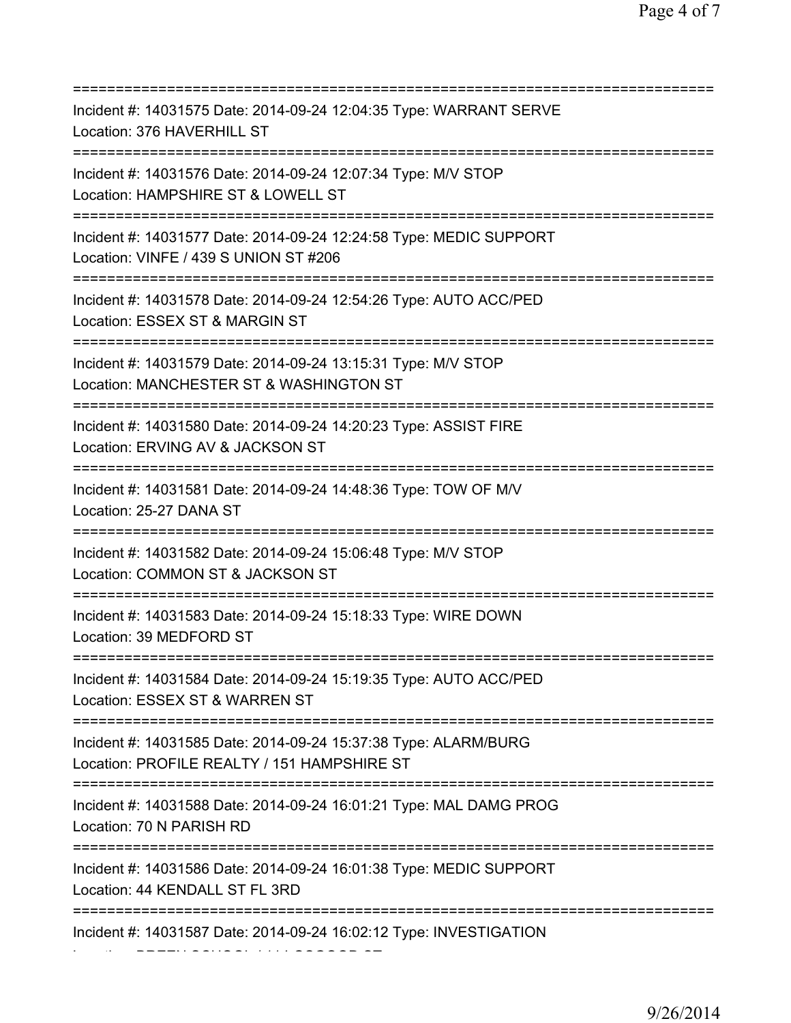| Incident #: 14031575 Date: 2014-09-24 12:04:35 Type: WARRANT SERVE<br>Location: 376 HAVERHILL ST                                             |
|----------------------------------------------------------------------------------------------------------------------------------------------|
| Incident #: 14031576 Date: 2014-09-24 12:07:34 Type: M/V STOP<br>Location: HAMPSHIRE ST & LOWELL ST<br>--------------------------            |
| Incident #: 14031577 Date: 2014-09-24 12:24:58 Type: MEDIC SUPPORT<br>Location: VINFE / 439 S UNION ST #206                                  |
| Incident #: 14031578 Date: 2014-09-24 12:54:26 Type: AUTO ACC/PED<br>Location: ESSEX ST & MARGIN ST                                          |
| Incident #: 14031579 Date: 2014-09-24 13:15:31 Type: M/V STOP<br>Location: MANCHESTER ST & WASHINGTON ST<br>;=====================           |
| Incident #: 14031580 Date: 2014-09-24 14:20:23 Type: ASSIST FIRE<br>Location: ERVING AV & JACKSON ST                                         |
| Incident #: 14031581 Date: 2014-09-24 14:48:36 Type: TOW OF M/V<br>Location: 25-27 DANA ST                                                   |
| Incident #: 14031582 Date: 2014-09-24 15:06:48 Type: M/V STOP<br>Location: COMMON ST & JACKSON ST                                            |
| Incident #: 14031583 Date: 2014-09-24 15:18:33 Type: WIRE DOWN<br>Location: 39 MEDFORD ST                                                    |
| Incident #: 14031584 Date: 2014-09-24 15:19:35 Type: AUTO ACC/PED<br>Location: ESSEX ST & WARREN ST                                          |
| Incident #: 14031585 Date: 2014-09-24 15:37:38 Type: ALARM/BURG<br>Location: PROFILE REALTY / 151 HAMPSHIRE ST                               |
| Incident #: 14031588 Date: 2014-09-24 16:01:21 Type: MAL DAMG PROG<br>Location: 70 N PARISH RD                                               |
| .===================================<br>Incident #: 14031586 Date: 2014-09-24 16:01:38 Type: MEDIC SUPPORT<br>Location: 44 KENDALL ST FL 3RD |
| ==================================<br>Incident #: 14031587 Date: 2014-09-24 16:02:12 Type: INVESTIGATION                                     |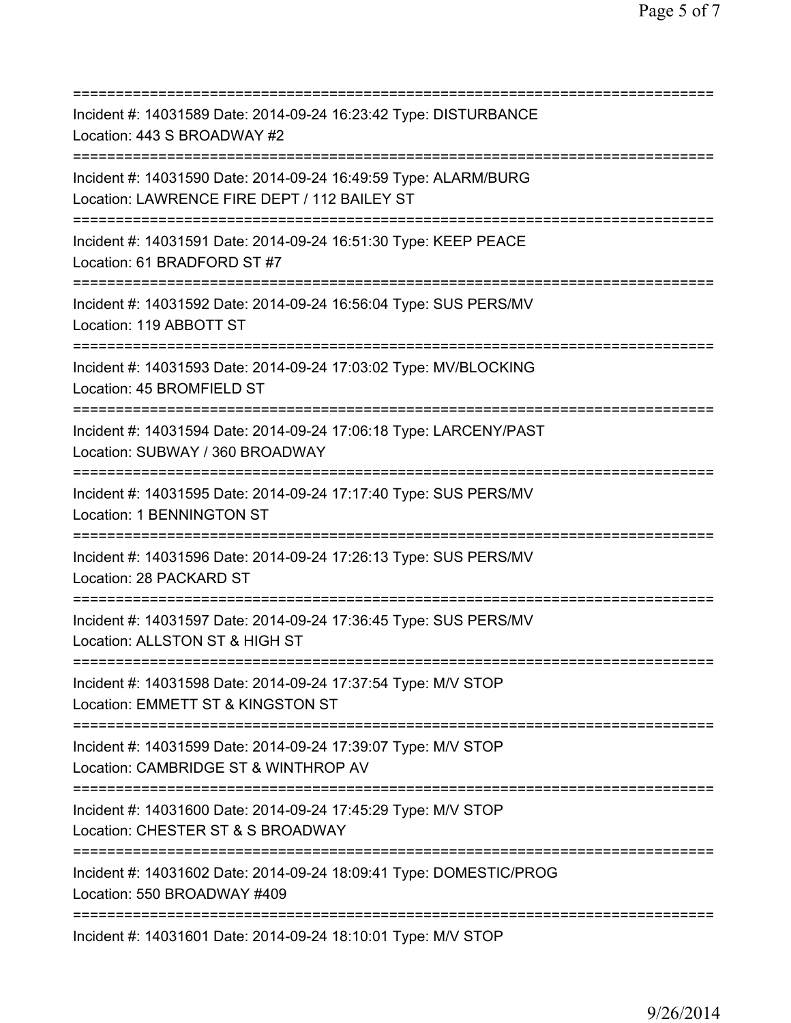| Incident #: 14031589 Date: 2014-09-24 16:23:42 Type: DISTURBANCE<br>Location: 443 S BROADWAY #2<br>;===================                |
|----------------------------------------------------------------------------------------------------------------------------------------|
| Incident #: 14031590 Date: 2014-09-24 16:49:59 Type: ALARM/BURG<br>Location: LAWRENCE FIRE DEPT / 112 BAILEY ST                        |
| Incident #: 14031591 Date: 2014-09-24 16:51:30 Type: KEEP PEACE<br>Location: 61 BRADFORD ST #7<br>==================================== |
| Incident #: 14031592 Date: 2014-09-24 16:56:04 Type: SUS PERS/MV<br>Location: 119 ABBOTT ST                                            |
| Incident #: 14031593 Date: 2014-09-24 17:03:02 Type: MV/BLOCKING<br>Location: 45 BROMFIELD ST                                          |
| Incident #: 14031594 Date: 2014-09-24 17:06:18 Type: LARCENY/PAST<br>Location: SUBWAY / 360 BROADWAY                                   |
| Incident #: 14031595 Date: 2014-09-24 17:17:40 Type: SUS PERS/MV<br>Location: 1 BENNINGTON ST                                          |
| Incident #: 14031596 Date: 2014-09-24 17:26:13 Type: SUS PERS/MV<br>Location: 28 PACKARD ST                                            |
| Incident #: 14031597 Date: 2014-09-24 17:36:45 Type: SUS PERS/MV<br>Location: ALLSTON ST & HIGH ST                                     |
| Incident #: 14031598 Date: 2014-09-24 17:37:54 Type: M/V STOP<br>Location: EMMETT ST & KINGSTON ST                                     |
| Incident #: 14031599 Date: 2014-09-24 17:39:07 Type: M/V STOP<br>Location: CAMBRIDGE ST & WINTHROP AV                                  |
| Incident #: 14031600 Date: 2014-09-24 17:45:29 Type: M/V STOP<br>Location: CHESTER ST & S BROADWAY                                     |
| Incident #: 14031602 Date: 2014-09-24 18:09:41 Type: DOMESTIC/PROG<br>Location: 550 BROADWAY #409                                      |
| Incident #: 14031601 Date: 2014-09-24 18:10:01 Type: M/V STOP                                                                          |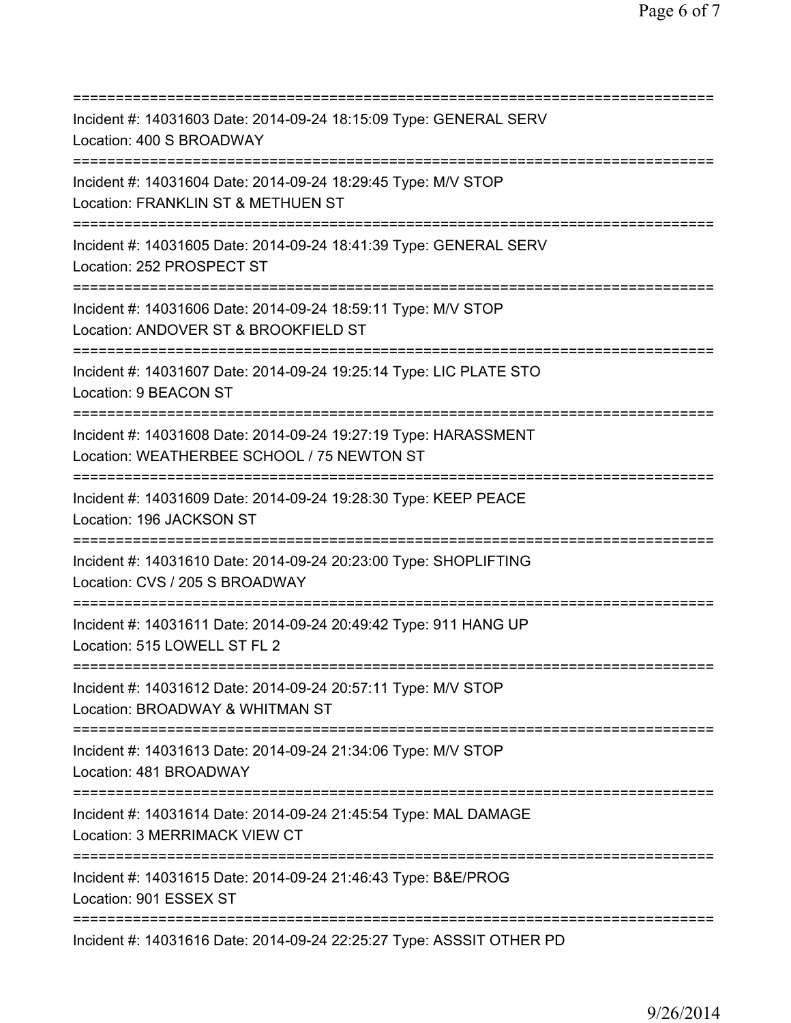| Incident #: 14031603 Date: 2014-09-24 18:15:09 Type: GENERAL SERV<br>Location: 400 S BROADWAY<br>===================                       |
|--------------------------------------------------------------------------------------------------------------------------------------------|
| Incident #: 14031604 Date: 2014-09-24 18:29:45 Type: M/V STOP<br>Location: FRANKLIN ST & METHUEN ST                                        |
| Incident #: 14031605 Date: 2014-09-24 18:41:39 Type: GENERAL SERV<br>Location: 252 PROSPECT ST                                             |
| Incident #: 14031606 Date: 2014-09-24 18:59:11 Type: M/V STOP<br>Location: ANDOVER ST & BROOKFIELD ST                                      |
| Incident #: 14031607 Date: 2014-09-24 19:25:14 Type: LIC PLATE STO<br>Location: 9 BEACON ST                                                |
| Incident #: 14031608 Date: 2014-09-24 19:27:19 Type: HARASSMENT<br>Location: WEATHERBEE SCHOOL / 75 NEWTON ST                              |
| Incident #: 14031609 Date: 2014-09-24 19:28:30 Type: KEEP PEACE<br>Location: 196 JACKSON ST                                                |
| Incident #: 14031610 Date: 2014-09-24 20:23:00 Type: SHOPLIFTING<br>Location: CVS / 205 S BROADWAY                                         |
| :==========<br>Incident #: 14031611 Date: 2014-09-24 20:49:42 Type: 911 HANG UP<br>Location: 515 LOWELL ST FL 2                            |
| Incident #: 14031612 Date: 2014-09-24 20:57:11 Type: M/V STOP<br>Location: BROADWAY & WHITMAN ST                                           |
| Incident #: 14031613 Date: 2014-09-24 21:34:06 Type: M/V STOP<br>Location: 481 BROADWAY                                                    |
| :=====================================<br>Incident #: 14031614 Date: 2014-09-24 21:45:54 Type: MAL DAMAGE<br>Location: 3 MERRIMACK VIEW CT |
| Incident #: 14031615 Date: 2014-09-24 21:46:43 Type: B&E/PROG<br>Location: 901 ESSEX ST                                                    |
| Incident #: 14031616 Date: 2014-09-24 22:25:27 Type: ASSSIT OTHER PD                                                                       |